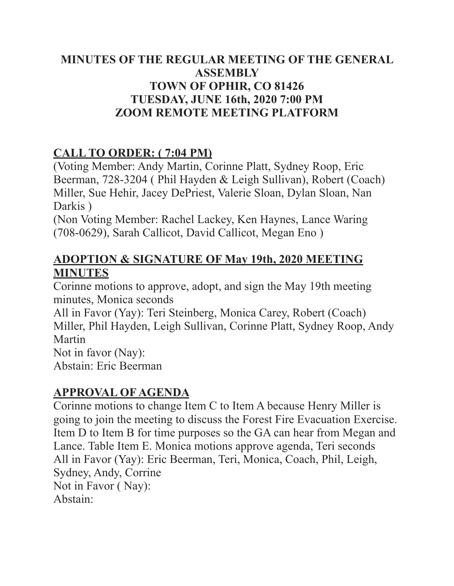### MINUTES OF THE REGULAR MEETING OF THE GENERAL **ASSEMBLY TOWN OF OPHIR, CO 81426 TUESDAY, JUNE 16th, 2020 7:00 PM ZOOM REMOTE MEETING PLATFORM**

# **CALL TO ORDER: (7:04 PM)**

(Voting Member: Andy Martin, Corinne Platt, Sydney Roop, Eric Beerman, 728-3204 (Phil Hayden & Leigh Sullivan), Robert (Coach) Miller, Sue Hehir, Jacey DePriest, Valerie Sloan, Dylan Sloan, Nan Darkis)

(Non Voting Member: Rachel Lackey, Ken Haynes, Lance Waring) (708-0629), Sarah Callicot, David Callicot, Megan Eno)

## **ADOPTION & SIGNATURE OF May 19th, 2020 MEETING MINUTES**

Corinne motions to approve, adopt, and sign the May 19th meeting minutes. Monica seconds

All in Favor (Yay): Teri Steinberg, Monica Carey, Robert (Coach) Miller, Phil Hayden, Leigh Sullivan, Corinne Platt, Sydney Roop, Andy Martin

Not in favor (Nav): Abstain: Eric Beerman

## **APPROVAL OF AGENDA**

Corinne motions to change Item C to Item A because Henry Miller is going to join the meeting to discuss the Forest Fire Evacuation Exercise. Item D to Item B for time purposes so the GA can hear from Megan and Lance. Table Item E. Monica motions approve agenda, Teri seconds All in Favor (Yay): Eric Beerman, Teri, Monica, Coach, Phil, Leigh, Sydney, Andy, Corrine Not in Favor (Nav): Abstain<sup>-</sup>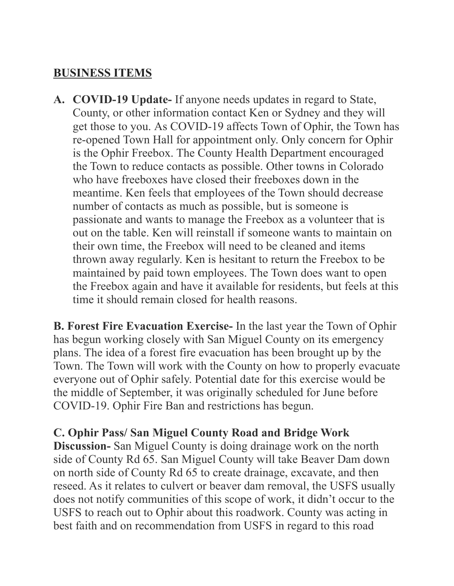#### **BUSINESS ITEMS**

A. COVID-19 Update- If anyone needs updates in regard to State, County, or other information contact Ken or Sydney and they will get those to you. As COVID-19 affects Town of Ophir, the Town has re-opened Town Hall for appointment only. Only concern for Ophir is the Ophir Freebox. The County Health Department encouraged the Town to reduce contacts as possible. Other towns in Colorado who have freeboxes have closed their freeboxes down in the meantime. Ken feels that employees of the Town should decrease number of contacts as much as possible, but is someone is passionate and wants to manage the Freebox as a volunteer that is out on the table Ken will reinstall if someone wants to maintain on their own time, the Freebox will need to be cleaned and items thrown away regularly. Ken is hesitant to return the Freebox to be maintained by paid town employees. The Town does want to open the Freebox again and have it available for residents, but feels at this time it should remain closed for health reasons

**B. Forest Fire Evacuation Exercise-** In the last year the Town of Ophir has begun working closely with San Miguel County on its emergency plans. The idea of a forest fire evacuation has been brought up by the Town. The Town will work with the County on how to properly evacuate everyone out of Ophir safely. Potential date for this exercise would be the middle of September, it was originally scheduled for June before COVID-19. Ophir Fire Ban and restrictions has begun.

C. Ophir Pass/San Miguel County Road and Bridge Work

**Discussion-** San Miguel County is doing drainage work on the north side of County Rd 65. San Miguel County will take Beaver Dam down on north side of County Rd 65 to create drainage, excavate, and then reseed. As it relates to culvert or beaver dam removal, the USFS usually does not notify communities of this scope of work, it didn't occur to the USFS to reach out to Ophir about this roadwork. County was acting in best faith and on recommendation from USFS in regard to this road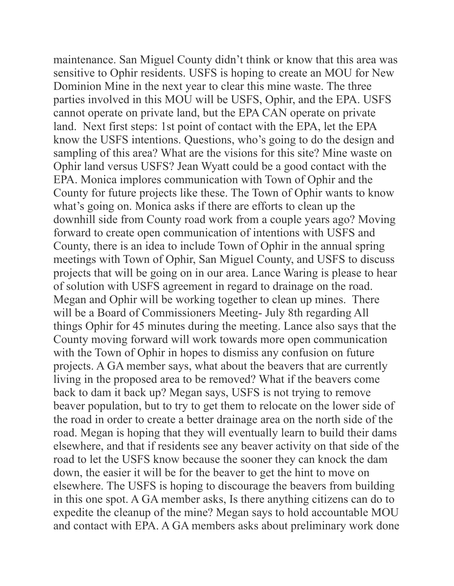maintenance. San Miguel County didn't think or know that this area was sensitive to Ophir residents. USFS is hoping to create an MOU for New Dominion Mine in the next year to clear this mine waste. The three parties involved in this MOU will be USFS, Ophir, and the EPA. USFS cannot operate on private land, but the EPA CAN operate on private land. Next first steps: 1st point of contact with the EPA, let the EPA know the USFS intentions. Questions, who's going to do the design and sampling of this area? What are the visions for this site? Mine waste on Ophir land versus USFS? Jean Wyatt could be a good contact with the EPA. Monica implores communication with Town of Ophir and the County for future projects like these. The Town of Ophir wants to know what's going on. Monica asks if there are efforts to clean up the downhill side from County road work from a couple years ago? Moving forward to create open communication of intentions with USFS and County, there is an idea to include Town of Ophir in the annual spring meetings with Town of Ophir, San Miguel County, and USFS to discuss projects that will be going on in our area. Lance Waring is please to hear of solution with USFS agreement in regard to drainage on the road. Megan and Ophir will be working together to clean up mines. There will be a Board of Commissioners Meeting- July 8th regarding All things Ophir for 45 minutes during the meeting. Lance also says that the County moving forward will work towards more open communication with the Town of Ophir in hopes to dismiss any confusion on future projects. A GA member says, what about the beavers that are currently living in the proposed area to be removed? What if the beavers come back to dam it back up? Megan says, USFS is not trying to remove beaver population, but to try to get them to relocate on the lower side of the road in order to create a better drainage area on the north side of the road. Megan is hoping that they will eventually learn to build their dams elsewhere, and that if residents see any beaver activity on that side of the road to let the USFS know because the sooner they can knock the dam down, the easier it will be for the beaver to get the hint to move on elsewhere. The USFS is hoping to discourage the beavers from building in this one spot. A GA member asks, Is there anything citizens can do to expedite the cleanup of the mine? Megan says to hold accountable MOU and contact with EPA. A GA members asks about preliminary work done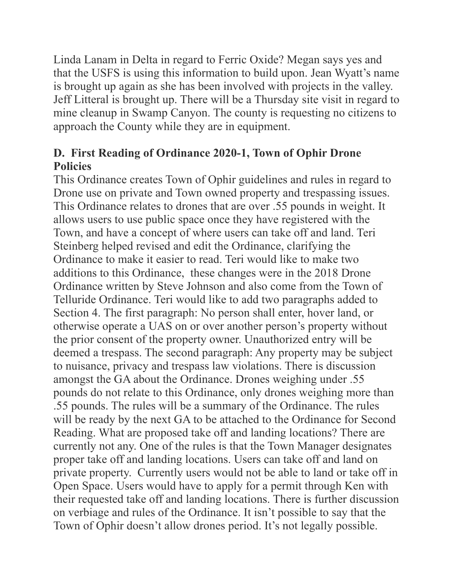Linda Lanam in Delta in regard to Ferric Oxide? Megan says yes and that the USFS is using this information to build upon. Jean Wyatt's name is brought up again as she has been involved with projects in the valley. Jeff Litteral is brought up. There will be a Thursday site visit in regard to mine cleanup in Swamp Canyon. The county is requesting no citizens to approach the County while they are in equipment.

### D. First Reading of Ordinance 2020-1, Town of Ophir Drone **Policies**

This Ordinance creates Town of Ophir guidelines and rules in regard to Drone use on private and Town owned property and trespassing issues. This Ordinance relates to drones that are over .55 pounds in weight. It allows users to use public space once they have registered with the Town, and have a concept of where users can take off and land. Teri Steinberg helped revised and edit the Ordinance, clarifying the Ordinance to make it easier to read. Teri would like to make two additions to this Ordinance, these changes were in the 2018 Drone Ordinance written by Steve Johnson and also come from the Town of Telluride Ordinance. Teri would like to add two paragraphs added to Section 4. The first paragraph: No person shall enter, hover land, or otherwise operate a UAS on or over another person's property without the prior consent of the property owner. Unauthorized entry will be deemed a trespass. The second paragraph: Any property may be subject to nuisance, privacy and trespass law violations. There is discussion amongst the GA about the Ordinance. Drones weighing under .55 pounds do not relate to this Ordinance, only drones weighing more than .55 pounds. The rules will be a summary of the Ordinance. The rules will be ready by the next GA to be attached to the Ordinance for Second Reading. What are proposed take off and landing locations? There are currently not any. One of the rules is that the Town Manager designates proper take off and landing locations. Users can take off and land on private property. Currently users would not be able to land or take off in Open Space. Users would have to apply for a permit through Ken with their requested take off and landing locations. There is further discussion on verbiage and rules of the Ordinance. It isn't possible to say that the Town of Ophir doesn't allow drones period. It's not legally possible.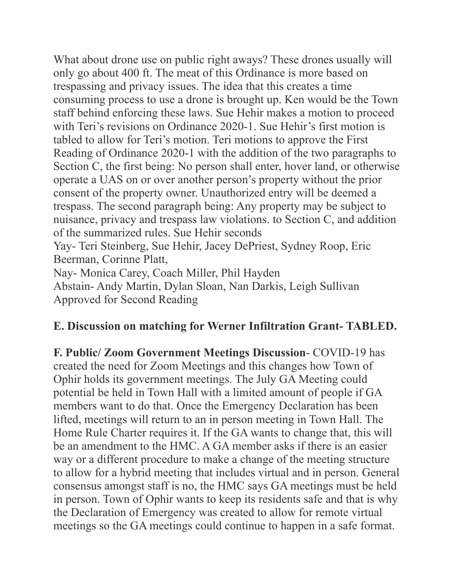What about drone use on public right aways? These drones usually will only go about 400 ft. The meat of this Ordinance is more based on trespassing and privacy issues. The idea that this creates a time consuming process to use a drone is brought up. Ken would be the Town staff behind enforcing these laws. Sue Hehir makes a motion to proceed with Teri's revisions on Ordinance 2020-1. Sue Hehir's first motion is tabled to allow for Teri's motion. Teri motions to approve the First Reading of Ordinance 2020-1 with the addition of the two paragraphs to Section C, the first being: No person shall enter, hover land, or otherwise operate a UAS on or over another person's property without the prior consent of the property owner. Unauthorized entry will be deemed a trespass. The second paragraph being: Any property may be subject to nuisance, privacy and trespass law violations. to Section C, and addition of the summarized rules. Sue Hehir seconds

Yay- Teri Steinberg, Sue Hehir, Jacey DePriest, Sydney Roop, Eric Beerman, Corinne Platt,

Nav- Monica Carey, Coach Miller, Phil Hayden

Abstain-Andy Martin, Dylan Sloan, Nan Darkis, Leigh Sullivan Approved for Second Reading

### E. Discussion on matching for Werner Infiltration Grant-TABLED.

F. Public/ Zoom Government Meetings Discussion- COVID-19 has created the need for Zoom Meetings and this changes how Town of Ophir holds its government meetings. The July GA Meeting could potential be held in Town Hall with a limited amount of people if GA members want to do that. Once the Emergency Declaration has been lifted, meetings will return to an in person meeting in Town Hall. The Home Rule Charter requires it. If the GA wants to change that, this will be an amendment to the HMC. A GA member asks if there is an easier way or a different procedure to make a change of the meeting structure to allow for a hybrid meeting that includes virtual and in person. General consensus amongst staff is no, the HMC says GA meetings must be held in person. Town of Ophir wants to keep its residents safe and that is why the Declaration of Emergency was created to allow for remote virtual meetings so the GA meetings could continue to happen in a safe format.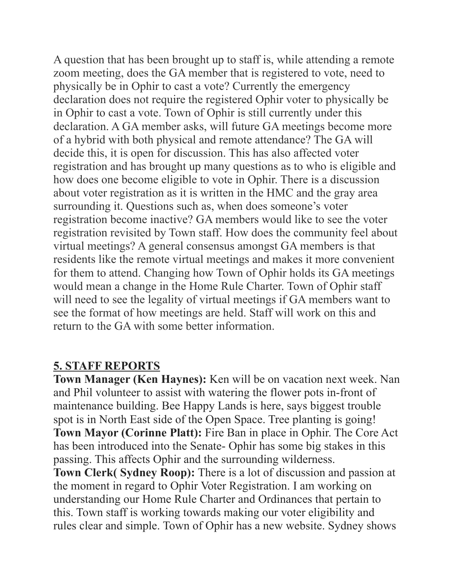A question that has been brought up to staff is, while attending a remote zoom meeting, does the GA member that is registered to vote, need to physically be in Ophir to cast a vote? Currently the emergency declaration does not require the registered Ophir voter to physically be in Ophir to cast a vote. Town of Ophir is still currently under this declaration. A GA member asks, will future GA meetings become more of a hybrid with both physical and remote attendance? The GA will decide this, it is open for discussion. This has also affected voter registration and has brought up many questions as to who is eligible and how does one become eligible to vote in Ophir. There is a discussion about voter registration as it is written in the HMC and the gray area surrounding it. Questions such as, when does someone's voter registration become inactive? GA members would like to see the voter registration revisited by Town staff. How does the community feel about virtual meetings? A general consensus amongst GA members is that residents like the remote virtual meetings and makes it more convenient for them to attend. Changing how Town of Ophir holds its GA meetings would mean a change in the Home Rule Charter. Town of Ophir staff will need to see the legality of virtual meetings if GA members want to see the format of how meetings are held. Staff will work on this and return to the GA with some better information

### **5. STAFF REPORTS**

Town Manager (Ken Haynes): Ken will be on vacation next week. Nan and Phil volunteer to assist with watering the flower pots in-front of maintenance building. Bee Happy Lands is here, says biggest trouble spot is in North East side of the Open Space. Tree planting is going! Town Mayor (Corinne Platt): Fire Ban in place in Ophir. The Core Act has been introduced into the Senate-Ophir has some big stakes in this passing. This affects Ophir and the surrounding wilderness. **Town Clerk(Sydney Roop):** There is a lot of discussion and passion at

the moment in regard to Ophir Voter Registration. I am working on understanding our Home Rule Charter and Ordinances that pertain to this. Town staff is working towards making our voter eligibility and rules clear and simple. Town of Ophir has a new website. Sydney shows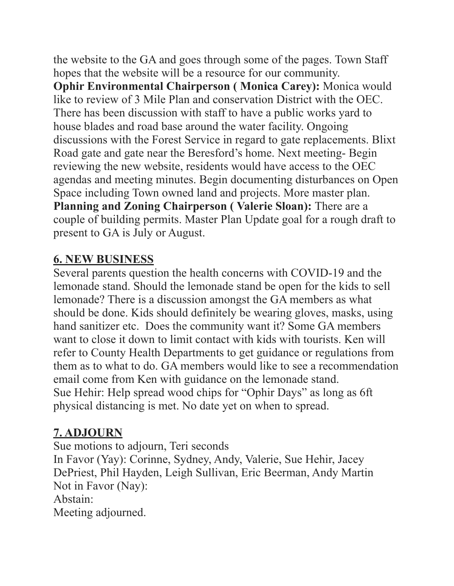the website to the GA and goes through some of the pages. Town Staff hopes that the website will be a resource for our community. **Ophir Environmental Chairperson (Monica Carey): Monica would** like to review of 3 Mile Plan and conservation District with the OEC. There has been discussion with staff to have a public works yard to house blades and road base around the water facility. Ongoing discussions with the Forest Service in regard to gate replacements. Blixt Road gate and gate near the Beresford's home. Next meeting- Begin reviewing the new website, residents would have access to the OEC agendas and meeting minutes. Begin documenting disturbances on Open Space including Town owned land and projects. More master plan. Planning and Zoning Chairperson (Valerie Sloan): There are a couple of building permits. Master Plan Update goal for a rough draft to present to GA is July or August.

#### **6. NEW BUSINESS**

Several parents question the health concerns with COVID-19 and the lemonade stand. Should the lemonade stand be open for the kids to sell lemonade? There is a discussion amongst the GA members as what should be done. Kids should definitely be wearing gloves, masks, using hand sanitizer etc. Does the community want it? Some GA members want to close it down to limit contact with kids with tourists. Ken will refer to County Health Departments to get guidance or regulations from them as to what to do. GA members would like to see a recommendation email come from Ken with guidance on the lemonade stand. Sue Hehir: Help spread wood chips for "Ophir Days" as long as 6ft physical distancing is met. No date yet on when to spread.

## 7. ADJOURN

Sue motions to adjourn, Teri seconds

In Favor (Yay): Corinne, Sydney, Andy, Valerie, Sue Hehir, Jacey DePriest, Phil Hayden, Leigh Sullivan, Eric Beerman, Andy Martin Not in Favor (Nay):

Abstain<sup>-</sup>

Meeting adjourned.